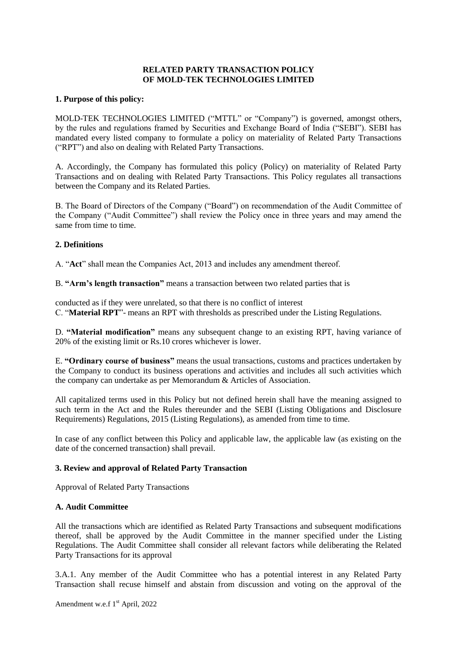# **RELATED PARTY TRANSACTION POLICY OF MOLD-TEK TECHNOLOGIES LIMITED**

#### **1. Purpose of this policy:**

MOLD-TEK TECHNOLOGIES LIMITED ("MTTL" or "Company") is governed, amongst others, by the rules and regulations framed by Securities and Exchange Board of India ("SEBI"). SEBI has mandated every listed company to formulate a policy on materiality of Related Party Transactions ("RPT") and also on dealing with Related Party Transactions.

A. Accordingly, the Company has formulated this policy (Policy) on materiality of Related Party Transactions and on dealing with Related Party Transactions. This Policy regulates all transactions between the Company and its Related Parties.

B. The Board of Directors of the Company ("Board") on recommendation of the Audit Committee of the Company ("Audit Committee") shall review the Policy once in three years and may amend the same from time to time.

## **2. Definitions**

A. "**Act**" shall mean the Companies Act, 2013 and includes any amendment thereof.

B. **"Arm's length transaction"** means a transaction between two related parties that is

conducted as if they were unrelated, so that there is no conflict of interest C. "**Material RPT**"- means an RPT with thresholds as prescribed under the Listing Regulations.

D. **"Material modification"** means any subsequent change to an existing RPT, having variance of 20% of the existing limit or Rs.10 crores whichever is lower.

E. **"Ordinary course of business"** means the usual transactions, customs and practices undertaken by the Company to conduct its business operations and activities and includes all such activities which the company can undertake as per Memorandum & Articles of Association.

All capitalized terms used in this Policy but not defined herein shall have the meaning assigned to such term in the Act and the Rules thereunder and the SEBI (Listing Obligations and Disclosure Requirements) Regulations, 2015 (Listing Regulations), as amended from time to time.

In case of any conflict between this Policy and applicable law, the applicable law (as existing on the date of the concerned transaction) shall prevail.

## **3. Review and approval of Related Party Transaction**

Approval of Related Party Transactions

## **A. Audit Committee**

All the transactions which are identified as Related Party Transactions and subsequent modifications thereof, shall be approved by the Audit Committee in the manner specified under the Listing Regulations. The Audit Committee shall consider all relevant factors while deliberating the Related Party Transactions for its approval

3.A.1. Any member of the Audit Committee who has a potential interest in any Related Party Transaction shall recuse himself and abstain from discussion and voting on the approval of the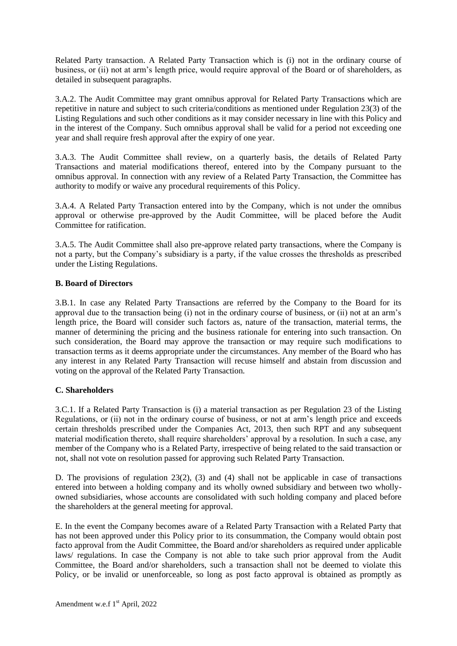Related Party transaction. A Related Party Transaction which is (i) not in the ordinary course of business, or (ii) not at arm's length price, would require approval of the Board or of shareholders, as detailed in subsequent paragraphs.

3.A.2. The Audit Committee may grant omnibus approval for Related Party Transactions which are repetitive in nature and subject to such criteria/conditions as mentioned under Regulation 23(3) of the Listing Regulations and such other conditions as it may consider necessary in line with this Policy and in the interest of the Company. Such omnibus approval shall be valid for a period not exceeding one year and shall require fresh approval after the expiry of one year.

3.A.3. The Audit Committee shall review, on a quarterly basis, the details of Related Party Transactions and material modifications thereof, entered into by the Company pursuant to the omnibus approval. In connection with any review of a Related Party Transaction, the Committee has authority to modify or waive any procedural requirements of this Policy.

3.A.4. A Related Party Transaction entered into by the Company, which is not under the omnibus approval or otherwise pre-approved by the Audit Committee, will be placed before the Audit Committee for ratification.

3.A.5. The Audit Committee shall also pre-approve related party transactions, where the Company is not a party, but the Company's subsidiary is a party, if the value crosses the thresholds as prescribed under the Listing Regulations.

## **B. Board of Directors**

3.B.1. In case any Related Party Transactions are referred by the Company to the Board for its approval due to the transaction being (i) not in the ordinary course of business, or (ii) not at an arm's length price, the Board will consider such factors as, nature of the transaction, material terms, the manner of determining the pricing and the business rationale for entering into such transaction. On such consideration, the Board may approve the transaction or may require such modifications to transaction terms as it deems appropriate under the circumstances. Any member of the Board who has any interest in any Related Party Transaction will recuse himself and abstain from discussion and voting on the approval of the Related Party Transaction.

## **C. Shareholders**

3.C.1. If a Related Party Transaction is (i) a material transaction as per Regulation 23 of the Listing Regulations, or (ii) not in the ordinary course of business, or not at arm's length price and exceeds certain thresholds prescribed under the Companies Act, 2013, then such RPT and any subsequent material modification thereto, shall require shareholders' approval by a resolution. In such a case, any member of the Company who is a Related Party, irrespective of being related to the said transaction or not, shall not vote on resolution passed for approving such Related Party Transaction.

D. The provisions of regulation  $23(2)$ ,  $(3)$  and  $(4)$  shall not be applicable in case of transactions entered into between a holding company and its wholly owned subsidiary and between two whollyowned subsidiaries, whose accounts are consolidated with such holding company and placed before the shareholders at the general meeting for approval.

E. In the event the Company becomes aware of a Related Party Transaction with a Related Party that has not been approved under this Policy prior to its consummation, the Company would obtain post facto approval from the Audit Committee, the Board and/or shareholders as required under applicable laws/ regulations. In case the Company is not able to take such prior approval from the Audit Committee, the Board and/or shareholders, such a transaction shall not be deemed to violate this Policy, or be invalid or unenforceable, so long as post facto approval is obtained as promptly as